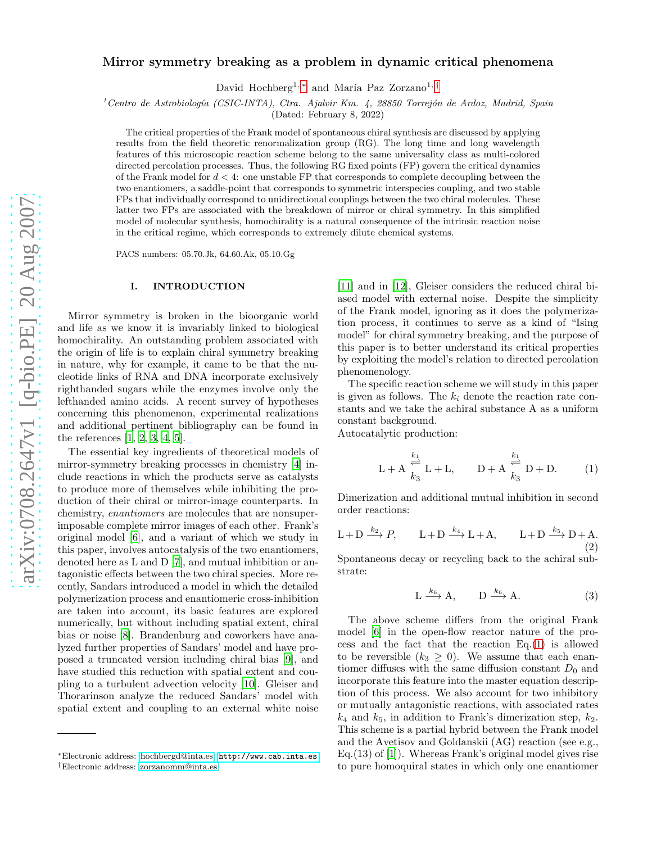# Mirror symmetry breaking as a problem in dynamic critical phenomena

David Hochberg<sup>1,[∗](#page-0-0)</sup> and María Paz Zorzano<sup>1,[†](#page-0-1)</sup>

<sup>1</sup>Centro de Astrobiología (CSIC-INTA), Ctra. Ajalvir Km. 4, 28850 Torrejón de Ardoz, Madrid, Spain

(Dated: February 8, 2022)

The critical properties of the Frank model of spontaneous chiral synthesis are discussed by applying results from the field theoretic renormalization group (RG). The long time and long wavelength features of this microscopic reaction scheme belong to the same universality class as multi-colored directed percolation processes. Thus, the following RG fixed points (FP) govern the critical dynamics of the Frank model for  $d < 4$ : one unstable FP that corresponds to complete decoupling between the two enantiomers, a saddle-point that corresponds to symmetric interspecies coupling, and two stable FPs that individually correspond to unidirectional couplings between the two chiral molecules. These latter two FPs are associated with the breakdown of mirror or chiral symmetry. In this simplified model of molecular synthesis, homochirality is a natural consequence of the intrinsic reaction noise in the critical regime, which corresponds to extremely dilute chemical systems.

PACS numbers: 05.70.Jk, 64.60.Ak, 05.10.Gg

#### I. INTRODUCTION

Mirror symmetry is broken in the bioorganic world and life as we know it is invariably linked to biological homochirality. An outstanding problem associated with the origin of life is to explain chiral symmetry breaking in nature, why for example, it came to be that the nucleotide links of RNA and DNA incorporate exclusively righthanded sugars while the enzymes involve only the lefthanded amino acids. A recent survey of hypotheses concerning this phenomenon, experimental realizations and additional pertinent bibliography can be found in the references [\[1,](#page-7-0) [2,](#page-7-1) [3,](#page-8-0) [4,](#page-8-1) [5\]](#page-8-2).

The essential key ingredients of theoretical models of mirror-symmetry breaking processes in chemistry [\[4](#page-8-1)] include reactions in which the products serve as catalysts to produce more of themselves while inhibiting the production of their chiral or mirror-image counterparts. In chemistry, enantiomers are molecules that are nonsuperimposable complete mirror images of each other. Frank's original model [\[6\]](#page-8-3), and a variant of which we study in this paper, involves autocatalysis of the two enantiomers, denoted here as L and D [\[7\]](#page-8-4), and mutual inhibition or antagonistic effects between the two chiral species. More recently, Sandars introduced a model in which the detailed polymerization process and enantiomeric cross-inhibition are taken into account, its basic features are explored numerically, but without including spatial extent, chiral bias or noise [\[8](#page-8-5)]. Brandenburg and coworkers have analyzed further properties of Sandars' model and have proposed a truncated version including chiral bias [\[9](#page-8-6)], and have studied this reduction with spatial extent and coupling to a turbulent advection velocity [\[10\]](#page-8-7). Gleiser and Thorarinson analyze the reduced Sandars' model with spatial extent and coupling to an external white noise

[\[11\]](#page-8-8) and in [\[12\]](#page-8-9), Gleiser considers the reduced chiral biased model with external noise. Despite the simplicity of the Frank model, ignoring as it does the polymerization process, it continues to serve as a kind of "Ising model" for chiral symmetry breaking, and the purpose of this paper is to better understand its critical properties by exploiting the model's relation to directed percolation phenomenology.

The specific reaction scheme we will study in this paper is given as follows. The  $k_i$  denote the reaction rate constants and we take the achiral substance A as a uniform constant background.

Autocatalytic production:

<span id="page-0-2"></span>
$$
L + A \stackrel{k_1}{\underset{k_3}{\rightleftharpoons}} L + L, \qquad D + A \stackrel{k_1}{\underset{k_3}{\rightleftharpoons}} D + D. \tag{1}
$$

Dimerization and additional mutual inhibition in second order reactions:

<span id="page-0-3"></span>
$$
L+D \xrightarrow{k_2} P, \qquad L+D \xrightarrow{k_4} L+A, \qquad L+D \xrightarrow{k_5} D+A.
$$
\n(2)

Spontaneous decay or recycling back to the achiral substrate:

<span id="page-0-4"></span>
$$
L \xrightarrow{k_6} A, \qquad D \xrightarrow{k_6} A. \tag{3}
$$

The above scheme differs from the original Frank model [\[6](#page-8-3)] in the open-flow reactor nature of the process and the fact that the reaction  $Eq.(1)$  $Eq.(1)$  is allowed to be reversible  $(k_3 \geq 0)$ . We assume that each enantiomer diffuses with the same diffusion constant  $D_0$  and incorporate this feature into the master equation description of this process. We also account for two inhibitory or mutually antagonistic reactions, with associated rates  $k_4$  and  $k_5$ , in addition to Frank's dimerization step,  $k_2$ . This scheme is a partial hybrid between the Frank model and the Avetisov and Goldanskii (AG) reaction (see e.g., Eq.(13) of [\[1\]](#page-7-0)). Whereas Frank's original model gives rise to pure homoquiral states in which only one enantiomer

<span id="page-0-1"></span><span id="page-0-0"></span><sup>∗</sup>Electronic address: [hochbergd@inta.es;](mailto:hochbergd@inta.es) <http://www.cab.inta.es> †Electronic address: [zorzanomm@inta.es](mailto:zorzanomm@inta.es)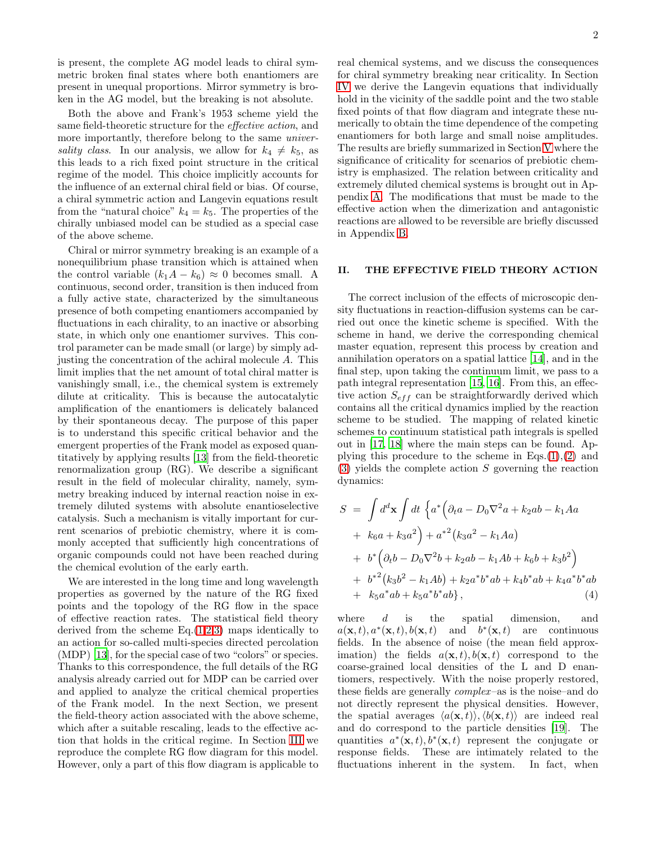is present, the complete AG model leads to chiral symmetric broken final states where both enantiomers are present in unequal proportions. Mirror symmetry is broken in the AG model, but the breaking is not absolute.

Both the above and Frank's 1953 scheme yield the same field-theoretic structure for the effective action, and more importantly, therefore belong to the same universality class. In our analysis, we allow for  $k_4 \neq k_5$ , as this leads to a rich fixed point structure in the critical regime of the model. This choice implicitly accounts for the influence of an external chiral field or bias. Of course, a chiral symmetric action and Langevin equations result from the "natural choice"  $k_4 = k_5$ . The properties of the chirally unbiased model can be studied as a special case of the above scheme.

Chiral or mirror symmetry breaking is an example of a nonequilibrium phase transition which is attained when the control variable  $(k_1A - k_6) \approx 0$  becomes small. A continuous, second order, transition is then induced from a fully active state, characterized by the simultaneous presence of both competing enantiomers accompanied by fluctuations in each chirality, to an inactive or absorbing state, in which only one enantiomer survives. This control parameter can be made small (or large) by simply adjusting the concentration of the achiral molecule A. This limit implies that the net amount of total chiral matter is vanishingly small, i.e., the chemical system is extremely dilute at criticality. This is because the autocatalytic amplification of the enantiomers is delicately balanced by their spontaneous decay. The purpose of this paper is to understand this specific critical behavior and the emergent properties of the Frank model as exposed quantitatively by applying results [\[13\]](#page-8-10) from the field-theoretic renormalization group (RG). We describe a significant result in the field of molecular chirality, namely, symmetry breaking induced by internal reaction noise in extremely diluted systems with absolute enantioselective catalysis. Such a mechanism is vitally important for current scenarios of prebiotic chemistry, where it is commonly accepted that sufficiently high concentrations of organic compounds could not have been reached during the chemical evolution of the early earth.

We are interested in the long time and long wavelength properties as governed by the nature of the RG fixed points and the topology of the RG flow in the space of effective reaction rates. The statistical field theory derived from the scheme  $Eq.(1,2,3)$  $Eq.(1,2,3)$  $Eq.(1,2,3)$  $Eq.(1,2,3)$  maps identically to an action for so-called multi-species directed percolation (MDP) [\[13](#page-8-10)], for the special case of two "colors" or species. Thanks to this correspondence, the full details of the RG analysis already carried out for MDP can be carried over and applied to analyze the critical chemical properties of the Frank model. In the next Section, we present the field-theory action associated with the above scheme, which after a suitable rescaling, leads to the effective action that holds in the critical regime. In Section [III](#page-2-0) we reproduce the complete RG flow diagram for this model. However, only a part of this flow diagram is applicable to real chemical systems, and we discuss the consequences for chiral symmetry breaking near criticality. In Section [IV](#page-3-0) we derive the Langevin equations that individually hold in the vicinity of the saddle point and the two stable fixed points of that flow diagram and integrate these numerically to obtain the time dependence of the competing enantiomers for both large and small noise amplitudes. The results are briefly summarized in Section [V](#page-6-0) where the significance of criticality for scenarios of prebiotic chemistry is emphasized. The relation between criticality and extremely diluted chemical systems is brought out in Appendix [A.](#page-7-2) The modifications that must be made to the effective action when the dimerization and antagonistic reactions are allowed to be reversible are briefly discussed in Appendix [B.](#page-7-3)

# <span id="page-1-1"></span>II. THE EFFECTIVE FIELD THEORY ACTION

The correct inclusion of the effects of microscopic density fluctuations in reaction-diffusion systems can be carried out once the kinetic scheme is specified. With the scheme in hand, we derive the corresponding chemical master equation, represent this process by creation and annihilation operators on a spatial lattice [\[14](#page-8-11)], and in the final step, upon taking the continuum limit, we pass to a path integral representation [\[15](#page-8-12), [16\]](#page-8-13). From this, an effective action  $S_{eff}$  can be straightforwardly derived which contains all the critical dynamics implied by the reaction scheme to be studied. The mapping of related kinetic schemes to continuum statistical path integrals is spelled out in [\[17,](#page-8-14) [18](#page-8-15)] where the main steps can be found. Applying this procedure to the scheme in  $Eqs.(1),(2)$  $Eqs.(1),(2)$  $Eqs.(1),(2)$  $Eqs.(1),(2)$  and  $(3)$  yields the complete action S governing the reaction dynamics:

<span id="page-1-0"></span>
$$
S = \int d^d \mathbf{x} \int dt \left\{ a^* \left( \partial_t a - D_0 \nabla^2 a + k_2 a b - k_1 A a \right) \right. \n+ k_6 a + k_3 a^2 \right\} + a^{*2} (k_3 a^2 - k_1 A a) \n+ b^* \left( \partial_t b - D_0 \nabla^2 b + k_2 a b - k_1 A b + k_6 b + k_3 b^2 \right) \n+ b^{*2} (k_3 b^2 - k_1 A b) + k_2 a^* b^* a b + k_4 b^* a b + k_4 a^* b^* a b \n+ k_5 a^* a b + k_5 a^* b^* a b \}, \tag{4}
$$

where  $d$  is the spatial dimension, and  $a(\mathbf{x},t), a^*(\mathbf{x},t), b(\mathbf{x},t)$  and  $b^*(\mathbf{x},t)$  are continuous fields. In the absence of noise (the mean field approximation) the fields  $a(\mathbf{x}, t)$ ,  $b(\mathbf{x}, t)$  correspond to the coarse-grained local densities of the L and D enantiomers, respectively. With the noise properly restored, these fields are generally  $complex$ -as is the noise–and do not directly represent the physical densities. However, the spatial averages  $\langle a(\mathbf{x}, t) \rangle$ ,  $\langle b(\mathbf{x}, t) \rangle$  are indeed real and do correspond to the particle densities [\[19](#page-8-16)]. The quantities  $a^*(\mathbf{x},t), b^*(\mathbf{x},t)$  represent the conjugate or response fields. These are intimately related to the fluctuations inherent in the system. In fact, when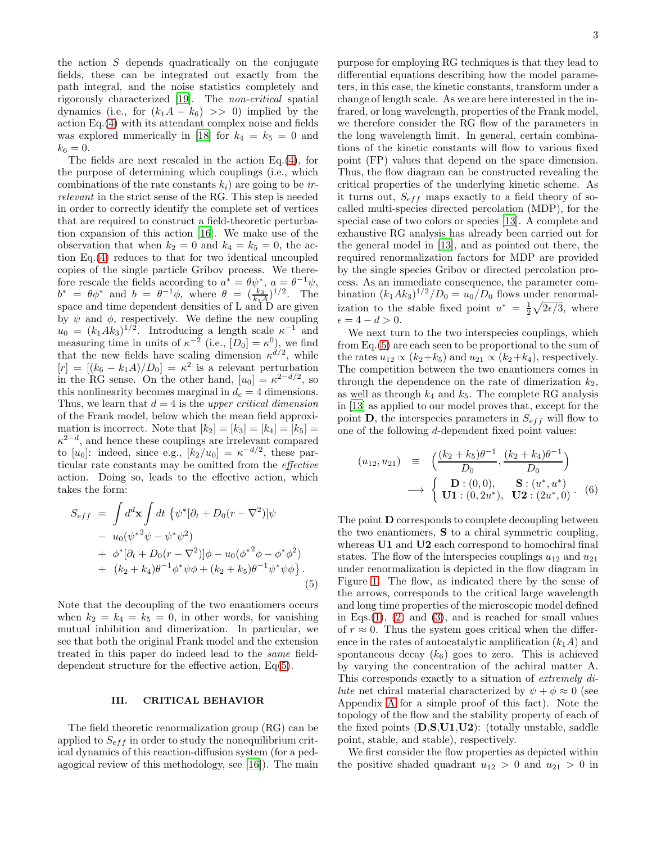the action  $S$  depends quadratically on the conjugate fields, these can be integrated out exactly from the path integral, and the noise statistics completely and rigorously characterized [\[19](#page-8-16)]. The non-critical spatial dynamics (i.e., for  $(k_1A - k_6) >> 0$ ) implied by the action Eq.[\(4\)](#page-1-0) with its attendant complex noise and fields was explored numerically in [\[18](#page-8-15)] for  $k_4 = k_5 = 0$  and

 $k_6 = 0.$ The fields are next rescaled in the action Eq.[\(4\)](#page-1-0), for the purpose of determining which couplings (i.e., which combinations of the rate constants  $k_i$ ) are going to be inrelevant in the strict sense of the RG. This step is needed in order to correctly identify the complete set of vertices that are required to construct a field-theoretic perturbation expansion of this action [\[16](#page-8-13)]. We make use of the observation that when  $k_2 = 0$  and  $k_4 = k_5 = 0$ , the action Eq.[\(4\)](#page-1-0) reduces to that for two identical uncoupled copies of the single particle Gribov process. We therefore rescale the fields according to  $a^* = \theta \psi^*, a = \theta^{-1} \psi$ ,  $b^* = \theta \phi^*$  and  $b = \theta^{-1} \phi$ , where  $\theta = \left(\frac{k_3}{k_1 A}\right)^{1/2}$ . The space and time dependent densities of L and D are given by  $\psi$  and  $\phi$ , respectively. We define the new coupling  $u_0 = (k_1 A k_3)^{1/2}$ . Introducing a length scale  $\kappa^{-1}$  and measuring time in units of  $\kappa^{-2}$  (i.e.,  $[D_0] = \kappa^0$ ), we find that the new fields have scaling dimension  $\kappa^{d/2}$ , while  $[r] = [(k_6 - k_1 A)/D_0] = \kappa^2$  is a relevant perturbation in the RG sense. On the other hand,  $[u_0] = \kappa^{2-d/2}$ , so this nonlinearity becomes marginal in  $d_c = 4$  dimensions. Thus, we learn that  $d = 4$  is the *upper critical dimension* of the Frank model, below which the mean field approximation is incorrect. Note that  $[k_2] = [k_3] = [k_4] = [k_5] =$  $\kappa^{2-d}$ , and hence these couplings are irrelevant compared to  $[u_0]$ : indeed, since e.g.,  $[k_2/u_0] = \kappa^{-d/2}$ , these particular rate constants may be omitted from the effective action. Doing so, leads to the effective action, which takes the form:

<span id="page-2-1"></span>
$$
S_{eff} = \int d^d \mathbf{x} \int dt \, \{ \psi^* [\partial_t + D_0 (r - \nabla^2)] \psi - u_0 (\psi^{*2} \psi - \psi^* \psi^2) + \phi^* [\partial_t + D_0 (r - \nabla^2)] \phi - u_0 (\phi^{*2} \phi - \phi^* \phi^2) + (k_2 + k_4) \theta^{-1} \phi^* \psi \phi + (k_2 + k_5) \theta^{-1} \psi^* \psi \phi \}.
$$
\n(5)

Note that the decoupling of the two enantiomers occurs when  $k_2 = k_4 = k_5 = 0$ , in other words, for vanishing mutual inhibition and dimerization. In particular, we see that both the original Frank model and the extension treated in this paper do indeed lead to the same fielddependent structure for the effective action, Eq[\(5\)](#page-2-1).

### <span id="page-2-0"></span>III. CRITICAL BEHAVIOR

The field theoretic renormalization group (RG) can be applied to  $S_{eff}$  in order to study the nonequilibrium critical dynamics of this reaction-diffusion system (for a pedagogical review of this methodology, see [\[16](#page-8-13)]). The main purpose for employing RG techniques is that they lead to differential equations describing how the model parameters, in this case, the kinetic constants, transform under a change of length scale. As we are here interested in the infrared, or long wavelength, properties of the Frank model, we therefore consider the RG flow of the parameters in the long wavelength limit. In general, certain combinations of the kinetic constants will flow to various fixed point (FP) values that depend on the space dimension. Thus, the flow diagram can be constructed revealing the critical properties of the underlying kinetic scheme. As it turns out,  $S_{eff}$  maps exactly to a field theory of socalled multi-species directed percolation (MDP), for the special case of two colors or species [\[13](#page-8-10)]. A complete and exhaustive RG analysis has already been carried out for the general model in [\[13\]](#page-8-10), and as pointed out there, the required renormalization factors for MDP are provided by the single species Gribov or directed percolation process. As an immediate consequence, the parameter combination  $(k_1 A k_3)^{1/2} / D_0 = u_0 / D_0$  flows under renormalization to the stable fixed point  $u^* = \frac{1}{2}\sqrt{2\epsilon/3}$ , where  $\epsilon = 4 - d > 0.$ 

We next turn to the two interspecies couplings, which from Eq.[\(5\)](#page-2-1) are each seen to be proportional to the sum of the rates  $u_{12} \propto (k_2+k_5)$  and  $u_{21} \propto (k_2+k_4)$ , respectively. The competition between the two enantiomers comes in through the dependence on the rate of dimerization  $k_2$ , as well as through  $k_4$  and  $k_5$ . The complete RG analysis in [\[13\]](#page-8-10) as applied to our model proves that, except for the point  $\mathbf{D}$ , the interspecies parameters in  $S_{eff}$  will flow to one of the following  $d$ -dependent fixed point values:

<span id="page-2-2"></span>
$$
(u_{12}, u_{21}) = \left( \frac{(k_2 + k_5)\theta^{-1}}{D_0}, \frac{(k_2 + k_4)\theta^{-1}}{D_0} \right)
$$
  

$$
\longrightarrow \left\{ \begin{array}{l} \mathbf{D} : (0,0), & \mathbf{S} : (u^*, u^*) \\ \mathbf{U1} : (0, 2u^*), & \mathbf{U2} : (2u^*, 0) \end{array} \right. (6)
$$

The point D corresponds to complete decoupling between the two enantiomers, S to a chiral symmetric coupling, whereas U1 and U2 each correspond to homochiral final states. The flow of the interspecies couplings  $u_{12}$  and  $u_{21}$ under renormalization is depicted in the flow diagram in Figure [1.](#page-3-1) The flow, as indicated there by the sense of the arrows, corresponds to the critical large wavelength and long time properties of the microscopic model defined in Eqs. $(1)$ ,  $(2)$  and  $(3)$ , and is reached for small values of  $r \approx 0$ . Thus the system goes critical when the difference in the rates of autocatalytic amplification  $(k_1A)$  and spontaneous decay  $(k_6)$  goes to zero. This is achieved by varying the concentration of the achiral matter A. This corresponds exactly to a situation of extremely di*lute* net chiral material characterized by  $\psi + \phi \approx 0$  (see Appendix [A](#page-7-2) for a simple proof of this fact). Note the topology of the flow and the stability property of each of the fixed points  $(D,S,U1,U2)$ : (totally unstable, saddle point, stable, and stable), respectively.

We first consider the flow properties as depicted within the positive shaded quadrant  $u_{12} > 0$  and  $u_{21} > 0$  in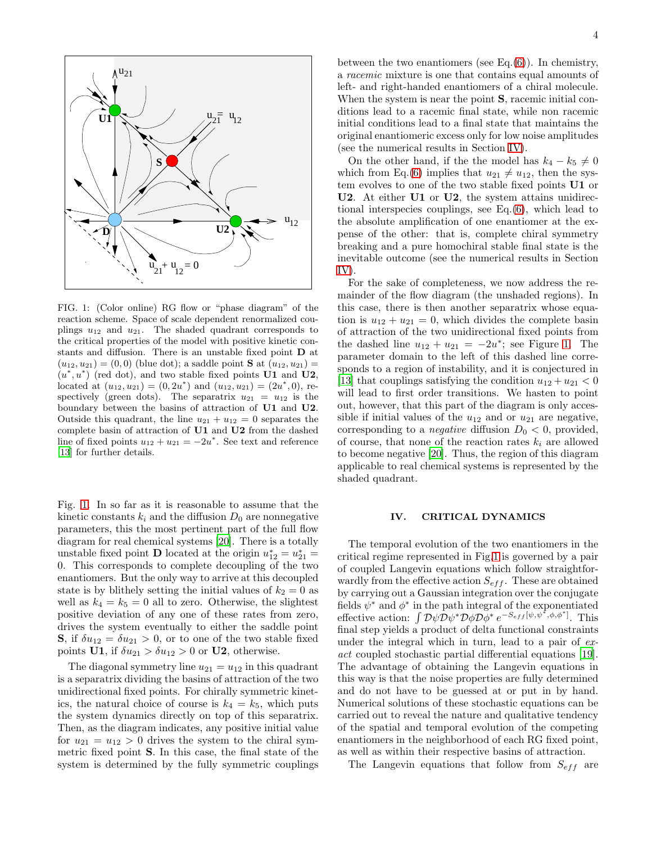

<span id="page-3-1"></span>FIG. 1: (Color online) RG flow or "phase diagram" of the reaction scheme. Space of scale dependent renormalized couplings  $u_{12}$  and  $u_{21}$ . The shaded quadrant corresponds to the critical properties of the model with positive kinetic constants and diffusion. There is an unstable fixed point D at  $(u_{12}, u_{21}) = (0, 0)$  (blue dot); a saddle point **S** at  $(u_{12}, u_{21}) =$  $(u^*, u^*)$  (red dot), and two stable fixed points U1 and U2, located at  $(u_{12}, u_{21}) = (0, 2u^*)$  and  $(u_{12}, u_{21}) = (2u^*, 0)$ , respectively (green dots). The separatrix  $u_{21} = u_{12}$  is the boundary between the basins of attraction of U1 and U2. Outside this quadrant, the line  $u_{21} + u_{12} = 0$  separates the complete basin of attraction of U1 and U2 from the dashed line of fixed points  $u_{12} + u_{21} = -2u^*$ . See text and reference [\[13\]](#page-8-10) for further details.

Fig. [1.](#page-3-1) In so far as it is reasonable to assume that the kinetic constants  $k_i$  and the diffusion  $D_0$  are nonnegative parameters, this the most pertinent part of the full flow diagram for real chemical systems [\[20](#page-8-17)]. There is a totally unstable fixed point **D** located at the origin  $u_{12}^* = u_{21}^* =$ 0. This corresponds to complete decoupling of the two enantiomers. But the only way to arrive at this decoupled state is by blithely setting the initial values of  $k_2 = 0$  as well as  $k_4 = k_5 = 0$  all to zero. Otherwise, the slightest positive deviation of any one of these rates from zero, drives the system eventually to either the saddle point **S**, if  $\delta u_{12} = \delta u_{21} > 0$ , or to one of the two stable fixed points U1, if  $\delta u_{21} > \delta u_{12} > 0$  or U2, otherwise.

The diagonal symmetry line  $u_{21} = u_{12}$  in this quadrant is a separatrix dividing the basins of attraction of the two unidirectional fixed points. For chirally symmetric kinetics, the natural choice of course is  $k_4 = k_5$ , which puts the system dynamics directly on top of this separatrix. Then, as the diagram indicates, any positive initial value for  $u_{21} = u_{12} > 0$  drives the system to the chiral symmetric fixed point S. In this case, the final state of the system is determined by the fully symmetric couplings

between the two enantiomers (see Eq. $(6)$ ). In chemistry, a racemic mixture is one that contains equal amounts of left- and right-handed enantiomers of a chiral molecule. When the system is near the point **S**, racemic initial conditions lead to a racemic final state, while non racemic initial conditions lead to a final state that maintains the original enantiomeric excess only for low noise amplitudes (see the numerical results in Section [IV\)](#page-3-0).

On the other hand, if the the model has  $k_4 - k_5 \neq 0$ which from Eq.[\(6\)](#page-2-2) implies that  $u_{21} \neq u_{12}$ , then the system evolves to one of the two stable fixed points U1 or U2. At either U1 or U2, the system attains unidirectional interspecies couplings, see Eq.[\(6\)](#page-2-2), which lead to the absolute amplification of one enantiomer at the expense of the other: that is, complete chiral symmetry breaking and a pure homochiral stable final state is the inevitable outcome (see the numerical results in Section [IV\)](#page-3-0).

For the sake of completeness, we now address the remainder of the flow diagram (the unshaded regions). In this case, there is then another separatrix whose equation is  $u_{12} + u_{21} = 0$ , which divides the complete basin of attraction of the two unidirectional fixed points from the dashed line  $u_{12} + u_{21} = -2u^*$ ; see Figure [1.](#page-3-1) The parameter domain to the left of this dashed line corresponds to a region of instability, and it is conjectured in [\[13\]](#page-8-10) that couplings satisfying the condition  $u_{12} + u_{21} < 0$ will lead to first order transitions. We hasten to point out, however, that this part of the diagram is only accessible if initial values of the  $u_{12}$  and or  $u_{21}$  are negative, corresponding to a *negative* diffusion  $D_0 < 0$ , provided, of course, that none of the reaction rates  $k_i$  are allowed to become negative [\[20\]](#page-8-17). Thus, the region of this diagram applicable to real chemical systems is represented by the shaded quadrant.

#### <span id="page-3-0"></span>IV. CRITICAL DYNAMICS

The temporal evolution of the two enantiomers in the critical regime represented in Fig[.1](#page-3-1) is governed by a pair of coupled Langevin equations which follow straightforwardly from the effective action  $S_{eff}$ . These are obtained by carrying out a Gaussian integration over the conjugate fields  $\psi^*$  and  $\phi^*$  in the path integral of the exponentiated effective action:  $\int \mathcal{D}\psi \mathcal{D}\psi^* \mathcal{D}\phi \mathcal{D}\phi^* e^{-S_{eff}[\psi,\psi^*,\phi,\phi^*]}$ . This final step yields a product of delta functional constraints under the integral which in turn, lead to a pair of exact coupled stochastic partial differential equations [\[19\]](#page-8-16). The advantage of obtaining the Langevin equations in this way is that the noise properties are fully determined and do not have to be guessed at or put in by hand. Numerical solutions of these stochastic equations can be carried out to reveal the nature and qualitative tendency of the spatial and temporal evolution of the competing enantiomers in the neighborhood of each RG fixed point, as well as within their respective basins of attraction.

The Langevin equations that follow from  $S_{eff}$  are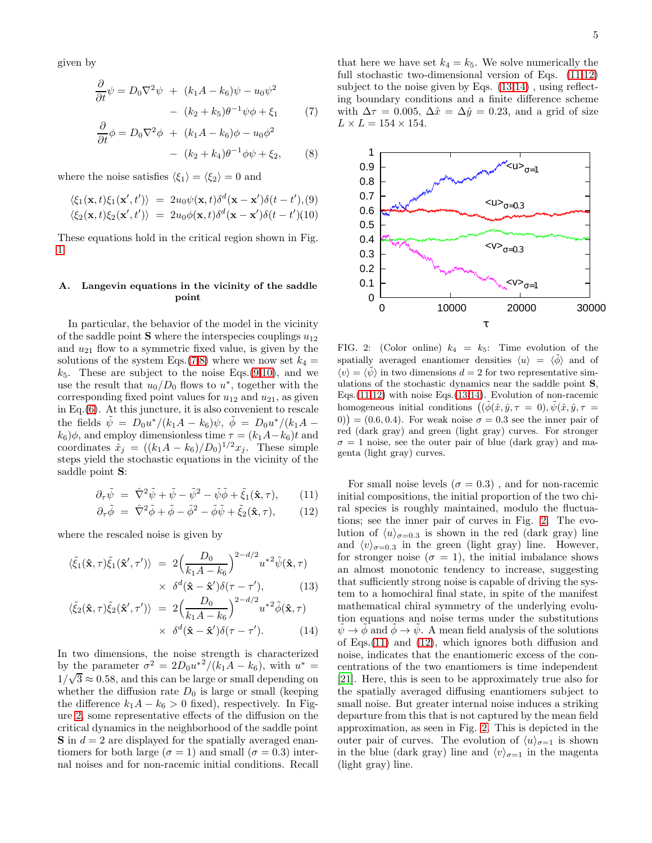given by

<span id="page-4-0"></span>
$$
\frac{\partial}{\partial t}\psi = D_0 \nabla^2 \psi + (k_1 A - k_6)\psi - u_0 \psi^2
$$

$$
- (k_2 + k_5)\theta^{-1}\psi\phi + \xi_1 \tag{7}
$$

$$
\frac{\partial}{\partial t}\phi = D_0 \nabla^2 \phi + (k_1 A - k_6)\phi - u_0 \phi^2
$$

$$
- (k_2 + k_4)\theta^{-1} \phi \psi + \xi_2, \qquad (8)
$$

where the noise satisfies  $\langle \xi_1 \rangle = \langle \xi_2 \rangle = 0$  and

<span id="page-4-1"></span>
$$
\langle \xi_1(\mathbf{x},t)\xi_1(\mathbf{x}',t') \rangle = 2u_0\psi(\mathbf{x},t)\delta^d(\mathbf{x}-\mathbf{x}')\delta(t-t'),(9) \langle \xi_2(\mathbf{x},t)\xi_2(\mathbf{x}',t') \rangle = 2u_0\phi(\mathbf{x},t)\delta^d(\mathbf{x}-\mathbf{x}')\delta(t-t')(10)
$$

These equations hold in the critical region shown in Fig. [1.](#page-3-1)

### Langevin equations in the vicinity of the saddle point

In particular, the behavior of the model in the vicinity of the saddle point **S** where the interspecies couplings  $u_{12}$ and  $u_{21}$  flow to a symmetric fixed value, is given by the solutions of the system Eqs.[\(7,8\)](#page-4-0) where we now set  $k_4 =$  $k_5$ . These are subject to the noise Eqs.[\(9,10\)](#page-4-1), and we use the result that  $u_0/D_0$  flows to  $u^*$ , together with the corresponding fixed point values for  $u_{12}$  and  $u_{21}$ , as given in Eq.[\(6\)](#page-2-2). At this juncture, it is also convenient to rescale the fields  $\tilde{\psi} = D_0 u^* / (k_1 A - k_6) \psi$ ,  $\tilde{\phi} = D_0 u^* / (k_1 A - k_6) \psi$  $k_6$ ) $\phi$ , and employ dimensionless time  $\tau = (k_1A - k_6)t$  and coordinates  $\hat{x}_j = ((k_1A - k_6)/D_0)^{1/2}x_j$ . These simple steps yield the stochastic equations in the vicinity of the saddle point S:

<span id="page-4-3"></span>
$$
\partial_{\tau}\tilde{\psi} = \hat{\nabla}^2 \tilde{\psi} + \tilde{\psi} - \tilde{\psi}^2 - \tilde{\psi}\tilde{\phi} + \tilde{\xi}_1(\hat{\mathbf{x}}, \tau), \qquad (11)
$$

$$
\partial_{\tau}\tilde{\phi} = \hat{\nabla}^2 \tilde{\phi} + \tilde{\phi} - \tilde{\phi}^2 - \tilde{\phi}\tilde{\psi} + \tilde{\xi}_2(\hat{\mathbf{x}}, \tau), \qquad (12)
$$

where the rescaled noise is given by

<span id="page-4-4"></span>
$$
\langle \tilde{\xi}_1(\hat{\mathbf{x}}, \tau) \tilde{\xi}_1(\hat{\mathbf{x}}', \tau') \rangle = 2 \Big( \frac{D_0}{k_1 A - k_6} \Big)^{2 - d/2} u^{*2} \tilde{\psi}(\hat{\mathbf{x}}, \tau) \times \delta^d(\hat{\mathbf{x}} - \hat{\mathbf{x}}') \delta(\tau - \tau'), \qquad (13)
$$

$$
\langle \tilde{\xi}_2(\hat{\mathbf{x}}, \tau) \tilde{\xi}_2(\hat{\mathbf{x}}', \tau') \rangle = 2 \Big( \frac{D_0}{k_1 A - k_6} \Big)^{2 - d/2} u^{*2} \tilde{\phi}(\hat{\mathbf{x}}, \tau) \times \delta^d(\hat{\mathbf{x}} - \hat{\mathbf{x}}') \delta(\tau - \tau').
$$
 (14)

In two dimensions, the noise strength is characterized by the parameter  $\sigma^2 = 2D_0u^{*2}/(k_1A - k_6)$ , with  $u^* =$  $1/\sqrt{3} \approx 0.58$ , and this can be large or small depending on whether the diffusion rate  $D_0$  is large or small (keeping the difference  $k_1A - k_6 > 0$  fixed), respectively. In Figure [2,](#page-4-2) some representative effects of the diffusion on the critical dynamics in the neighborhood of the saddle point  $S$  in  $d = 2$  are displayed for the spatially averaged enantiomers for both large ( $\sigma = 1$ ) and small ( $\sigma = 0.3$ ) internal noises and for non-racemic initial conditions. Recall

that here we have set  $k_4 = k_5$ . We solve numerically the full stochastic two-dimensional version of Eqs.  $(11,12)$ subject to the noise given by Eqs.  $(13.14)$ , using reflecting boundary conditions and a finite difference scheme with  $\Delta \tau = 0.005$ ,  $\Delta \hat{x} = \Delta \hat{y} = 0.23$ , and a grid of size  $L \times L = 154 \times 154.$ 



<span id="page-4-2"></span>FIG. 2: (Color online)  $k_4 = k_5$ : Time evolution of the spatially averaged enantiomer densities  $\langle u \rangle = \langle \tilde{\phi} \rangle$  and of  $\langle v \rangle = \langle \tilde{\psi} \rangle$  in two dimensions  $d = 2$  for two representative simulations of the stochastic dynamics near the saddle point S, Eqs. $(11,12)$  with noise Eqs. $(13,14)$ . Evolution of non-racemic homogeneous initial conditions  $((\tilde{\phi}(\hat{x}, \hat{y}, \tau = 0), \tilde{\psi}(\hat{x}, \hat{y}, \tau = 0))$  $(0)$  = (0.6, 0.4). For weak noise  $\sigma = 0.3$  see the inner pair of red (dark gray) and green (light gray) curves. For stronger  $\sigma = 1$  noise, see the outer pair of blue (dark gray) and magenta (light gray) curves.

For small noise levels ( $\sigma = 0.3$ ), and for non-racemic initial compositions, the initial proportion of the two chiral species is roughly maintained, modulo the fluctuations; see the inner pair of curves in Fig. [2.](#page-4-2) The evolution of  $\langle u \rangle_{\sigma=0.3}$  is shown in the red (dark gray) line and  $\langle v \rangle_{\sigma=0.3}$  in the green (light gray) line. However, for stronger noise ( $\sigma = 1$ ), the initial imbalance shows an almost monotonic tendency to increase, suggesting that sufficiently strong noise is capable of driving the system to a homochiral final state, in spite of the manifest mathematical chiral symmetry of the underlying evolution equations and noise terms under the substitutions  $\psi \rightarrow \phi$  and  $\phi \rightarrow \psi$ . A mean field analysis of the solutions of Eqs.[\(11\)](#page-4-3) and [\(12\)](#page-4-3), which ignores both diffusion and noise, indicates that the enantiomeric excess of the concentrations of the two enantiomers is time independent [\[21\]](#page-8-18). Here, this is seen to be approximately true also for the spatially averaged diffusing enantiomers subject to small noise. But greater internal noise induces a striking departure from this that is not captured by the mean field approximation, as seen in Fig. [2.](#page-4-2) This is depicted in the outer pair of curves. The evolution of  $\langle u \rangle_{\sigma=1}$  is shown in the blue (dark gray) line and  $\langle v \rangle_{\sigma=1}$  in the magenta (light gray) line.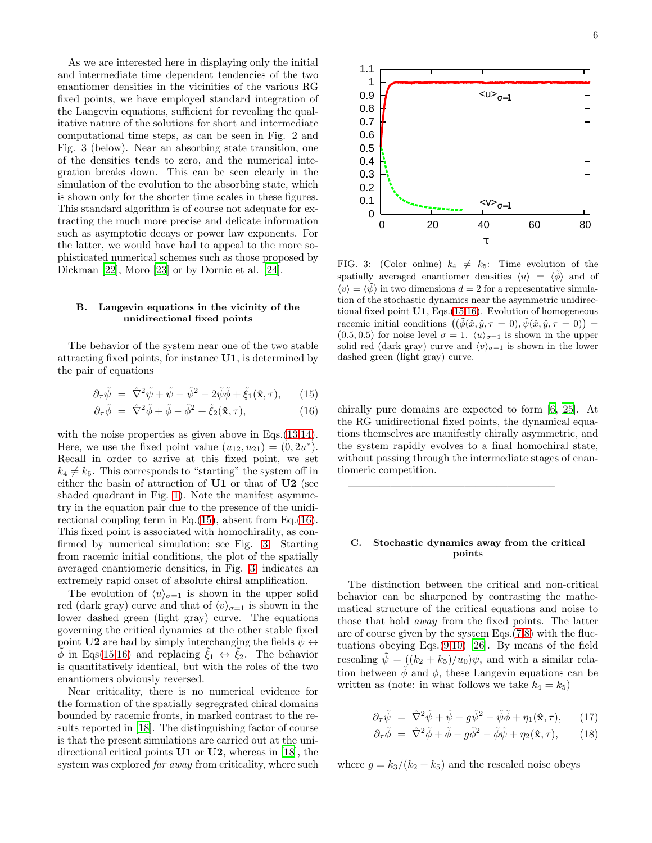As we are interested here in displaying only the initial and intermediate time dependent tendencies of the two enantiomer densities in the vicinities of the various RG fixed points, we have employed standard integration of the Langevin equations, sufficient for revealing the qualitative nature of the solutions for short and intermediate computational time steps, as can be seen in Fig. 2 and Fig. 3 (below). Near an absorbing state transition, one of the densities tends to zero, and the numerical integration breaks down. This can be seen clearly in the simulation of the evolution to the absorbing state, which is shown only for the shorter time scales in these figures. This standard algorithm is of course not adequate for extracting the much more precise and delicate information such as asymptotic decays or power law exponents. For the latter, we would have had to appeal to the more sophisticated numerical schemes such as those proposed by Dickman [\[22\]](#page-8-19), Moro [\[23\]](#page-8-20) or by Dornic et al. [\[24\]](#page-8-21).

### B. Langevin equations in the vicinity of the unidirectional fixed points

The behavior of the system near one of the two stable attracting fixed points, for instance U1, is determined by the pair of equations

<span id="page-5-0"></span>
$$
\partial_{\tau}\tilde{\psi} = \hat{\nabla}^2 \tilde{\psi} + \tilde{\psi} - \tilde{\psi}^2 - 2\tilde{\psi}\tilde{\phi} + \tilde{\xi}_1(\hat{\mathbf{x}}, \tau), \qquad (15)
$$

$$
\partial_{\tau}\tilde{\phi} = \hat{\nabla}^2 \tilde{\phi} + \tilde{\phi} - \tilde{\phi}^2 + \tilde{\xi}_2(\hat{\mathbf{x}}, \tau), \tag{16}
$$

with the noise properties as given above in Eqs.  $(13,14)$ . Here, we use the fixed point value  $(u_{12}, u_{21}) = (0, 2u^*).$ Recall in order to arrive at this fixed point, we set  $k_4 \neq k_5$ . This corresponds to "starting" the system off in either the basin of attraction of U1 or that of U2 (see shaded quadrant in Fig. [1\)](#page-3-1). Note the manifest asymmetry in the equation pair due to the presence of the unidirectional coupling term in Eq. $(15)$ , absent from Eq. $(16)$ . This fixed point is associated with homochirality, as confirmed by numerical simulation; see Fig. [3.](#page-5-1) Starting from racemic initial conditions, the plot of the spatially averaged enantiomeric densities, in Fig. [3,](#page-5-1) indicates an extremely rapid onset of absolute chiral amplification.

The evolution of  $\langle u \rangle_{\sigma=1}$  is shown in the upper solid red (dark gray) curve and that of  $\langle v \rangle_{\sigma=1}$  is shown in the lower dashed green (light gray) curve. The equations governing the critical dynamics at the other stable fixed point U2 are had by simply interchanging the fields  $\psi \leftrightarrow$  $\phi$  in Eqs[\(15,16\)](#page-5-0) and replacing  $\xi_1 \leftrightarrow \xi_2$ . The behavior is quantitatively identical, but with the roles of the two enantiomers obviously reversed.

Near criticality, there is no numerical evidence for the formation of the spatially segregrated chiral domains bounded by racemic fronts, in marked contrast to the results reported in [\[18](#page-8-15)]. The distinguishing factor of course is that the present simulations are carried out at the unidirectional critical points U1 or U2, whereas in [\[18\]](#page-8-15), the system was explored *far away* from criticality, where such



<span id="page-5-1"></span>FIG. 3: (Color online)  $k_4 \neq k_5$ : Time evolution of the spatially averaged enantiomer densities  $\langle u \rangle = \langle \phi \rangle$  and of  $\langle v \rangle = \langle \tilde{\psi} \rangle$  in two dimensions  $d = 2$  for a representative simulation of the stochastic dynamics near the asymmetric unidirectional fixed point U1, Eqs.[\(15,16\)](#page-5-0). Evolution of homogeneous racemic initial conditions  $((\tilde{\phi}(\hat{x}, \hat{y}, \tau = 0), \tilde{\psi}(\hat{x}, \hat{y}, \tau = 0)) =$  $(0.5, 0.5)$  for noise level  $\sigma = 1$ .  $\langle u \rangle_{\sigma=1}$  is shown in the upper solid red (dark gray) curve and  $\langle v \rangle_{\sigma=1}$  is shown in the lower dashed green (light gray) curve.

chirally pure domains are expected to form [\[6,](#page-8-3) [25\]](#page-8-22). At the RG unidirectional fixed points, the dynamical equations themselves are manifestly chirally asymmetric, and the system rapidly evolves to a final homochiral state, without passing through the intermediate stages of enantiomeric competition.

———————————————————–

# C. Stochastic dynamics away from the critical points

The distinction between the critical and non-critical behavior can be sharpened by contrasting the mathematical structure of the critical equations and noise to those that hold away from the fixed points. The latter are of course given by the system Eqs.[\(7,8\)](#page-4-0) with the fluctuations obeying Eqs. $(9,10)$  [\[26\]](#page-8-23). By means of the field rescaling  $\psi = ((k_2 + k_5)/u_0)\psi$ , and with a similar relation between  $\phi$  and  $\phi$ , these Langevin equations can be written as (note: in what follows we take  $k_4 = k_5$ )

<span id="page-5-2"></span>
$$
\partial_{\tau}\tilde{\psi} = \hat{\nabla}^2 \tilde{\psi} + \tilde{\psi} - g\tilde{\psi}^2 - \tilde{\psi}\tilde{\phi} + \eta_1(\hat{\mathbf{x}}, \tau), \qquad (17)
$$

$$
\partial_{\tau}\tilde{\phi} = \hat{\nabla}^2 \tilde{\phi} + \tilde{\phi} - g\tilde{\phi}^2 - \tilde{\phi}\tilde{\psi} + \eta_2(\hat{\mathbf{x}}, \tau), \qquad (18)
$$

where  $g = k_3/(k_2 + k_5)$  and the rescaled noise obeys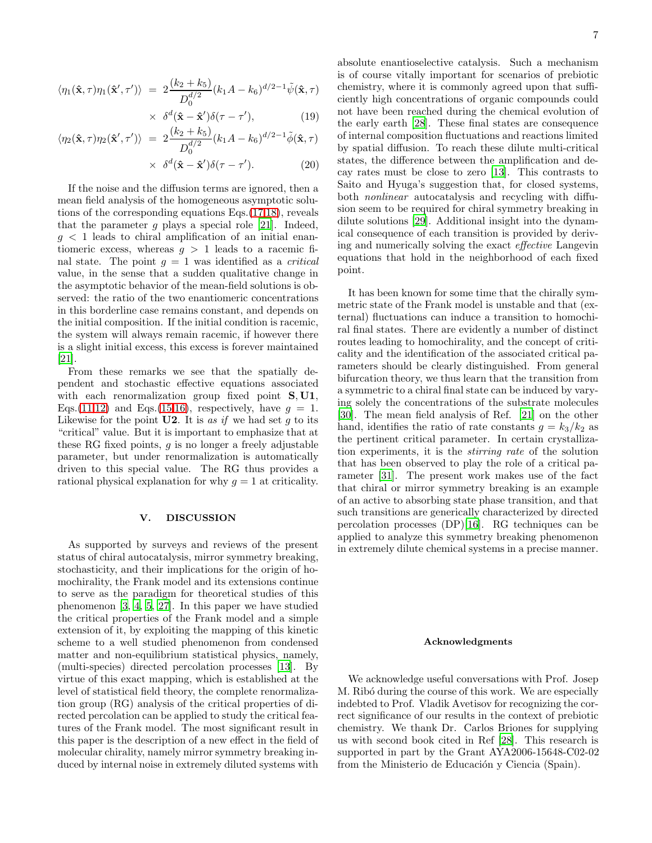$$
\langle \eta_1(\hat{\mathbf{x}}, \tau) \eta_1(\hat{\mathbf{x}}', \tau') \rangle = 2 \frac{(k_2 + k_5)}{D_0^{d/2}} (k_1 A - k_6)^{d/2 - 1} \tilde{\psi}(\hat{\mathbf{x}}, \tau)
$$

$$
\times \delta^d(\hat{\mathbf{x}} - \hat{\mathbf{x}}')\delta(\tau - \tau'), \tag{19}
$$

$$
\langle \eta_2(\hat{\mathbf{x}}, \tau) \eta_2(\hat{\mathbf{x}}', \tau') \rangle = 2 \frac{(k_2 + k_5)}{D_0^{d/2}} (k_1 A - k_6)^{d/2 - 1} \tilde{\phi}(\hat{\mathbf{x}}, \tau)
$$

 $\times \delta^d(\hat{\mathbf{x}} - \hat{\mathbf{x}}')\delta(\tau - \tau')$  $(20)$ 

If the noise and the diffusion terms are ignored, then a mean field analysis of the homogeneous asymptotic solutions of the corresponding equations Eqs.[\(17,18\)](#page-5-2), reveals that the parameter q plays a special role [\[21\]](#page-8-18). Indeed,  $g < 1$  leads to chiral amplification of an initial enantiomeric excess, whereas  $q > 1$  leads to a racemic final state. The point  $g = 1$  was identified as a *critical* value, in the sense that a sudden qualitative change in the asymptotic behavior of the mean-field solutions is observed: the ratio of the two enantiomeric concentrations in this borderline case remains constant, and depends on the initial composition. If the initial condition is racemic, the system will always remain racemic, if however there is a slight initial excess, this excess is forever maintained [\[21\]](#page-8-18).

From these remarks we see that the spatially dependent and stochastic effective equations associated with each renormalization group fixed point **S**, U1, Eqs.[\(11,12\)](#page-4-3) and Eqs.[\(15,16\)](#page-5-0), respectively, have  $g = 1$ . Likewise for the point  $U2$ . It is as if we had set g to its "critical" value. But it is important to emphasize that at these RG fixed points,  $g$  is no longer a freely adjustable parameter, but under renormalization is automatically driven to this special value. The RG thus provides a rational physical explanation for why  $q = 1$  at criticality.

#### <span id="page-6-0"></span>V. DISCUSSION

As supported by surveys and reviews of the present status of chiral autocatalysis, mirror symmetry breaking, stochasticity, and their implications for the origin of homochirality, the Frank model and its extensions continue to serve as the paradigm for theoretical studies of this phenomenon [\[3,](#page-8-0) [4](#page-8-1), [5,](#page-8-2) [27\]](#page-8-24). In this paper we have studied the critical properties of the Frank model and a simple extension of it, by exploiting the mapping of this kinetic scheme to a well studied phenomenon from condensed matter and non-equilibrium statistical physics, namely, (multi-species) directed percolation processes [\[13\]](#page-8-10). By virtue of this exact mapping, which is established at the level of statistical field theory, the complete renormalization group (RG) analysis of the critical properties of directed percolation can be applied to study the critical features of the Frank model. The most significant result in this paper is the description of a new effect in the field of molecular chirality, namely mirror symmetry breaking induced by internal noise in extremely diluted systems with absolute enantioselective catalysis. Such a mechanism is of course vitally important for scenarios of prebiotic chemistry, where it is commonly agreed upon that sufficiently high concentrations of organic compounds could not have been reached during the chemical evolution of the early earth [\[28](#page-8-25)]. These final states are consequence of internal composition fluctuations and reactions limited by spatial diffusion. To reach these dilute multi-critical states, the difference between the amplification and decay rates must be close to zero [\[13\]](#page-8-10). This contrasts to Saito and Hyuga's suggestion that, for closed systems, both *nonlinear* autocatalysis and recycling with diffusion seem to be required for chiral symmetry breaking in dilute solutions [\[29\]](#page-8-26). Additional insight into the dynamical consequence of each transition is provided by deriving and numerically solving the exact effective Langevin equations that hold in the neighborhood of each fixed point.

It has been known for some time that the chirally symmetric state of the Frank model is unstable and that (external) fluctuations can induce a transition to homochiral final states. There are evidently a number of distinct routes leading to homochirality, and the concept of criticality and the identification of the associated critical parameters should be clearly distinguished. From general bifurcation theory, we thus learn that the transition from a symmetric to a chiral final state can be induced by varying solely the concentrations of the substrate molecules [\[30\]](#page-8-27). The mean field analysis of Ref. [\[21](#page-8-18)] on the other hand, identifies the ratio of rate constants  $g = k_3/k_2$  as the pertinent critical parameter. In certain crystallization experiments, it is the stirring rate of the solution that has been observed to play the role of a critical parameter [\[31](#page-8-28)]. The present work makes use of the fact that chiral or mirror symmetry breaking is an example of an active to absorbing state phase transition, and that such transitions are generically characterized by directed percolation processes (DP)[\[16](#page-8-13)]. RG techniques can be applied to analyze this symmetry breaking phenomenon in extremely dilute chemical systems in a precise manner.

#### Acknowledgments

We acknowledge useful conversations with Prof. Josep M. Ribó during the course of this work. We are especially indebted to Prof. Vladik Avetisov for recognizing the correct significance of our results in the context of prebiotic chemistry. We thank Dr. Carlos Briones for supplying us with second book cited in Ref [\[28\]](#page-8-25). This research is supported in part by the Grant AYA2006-15648-C02-02 from the Ministerio de Educación y Ciencia (Spain).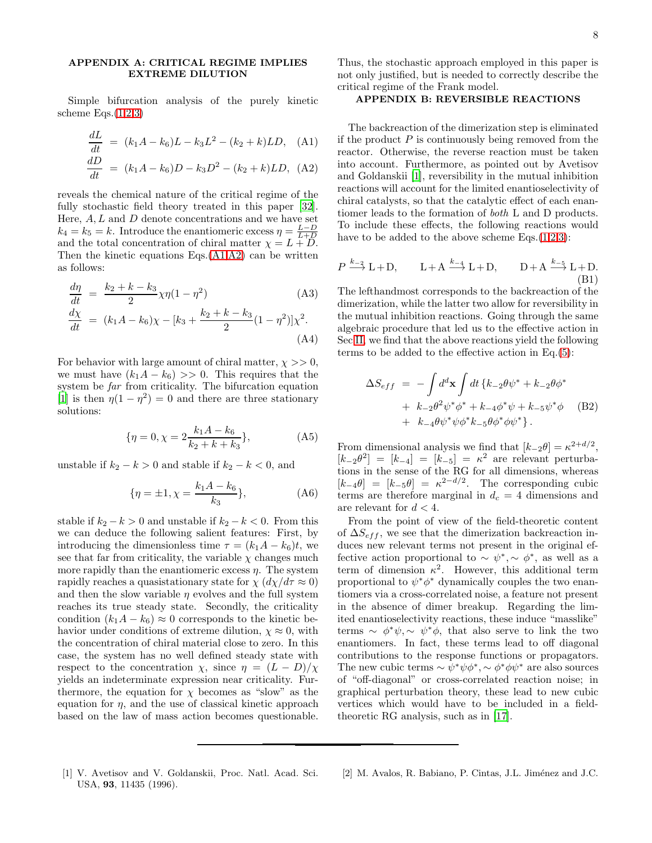# <span id="page-7-2"></span>APPENDIX A: CRITICAL REGIME IMPLIES EXTREME DILUTION

Simple bifurcation analysis of the purely kinetic scheme Eqs. $(1,2,3)$  $(1,2,3)$  $(1,2,3)$ 

<span id="page-7-4"></span>
$$
\frac{dL}{dt} = (k_1 A - k_6)L - k_3 L^2 - (k_2 + k)LD, \quad (A1)
$$
  

$$
\frac{dD}{dt} = (k_1 A - k_6)D - k_3 D^2 - (k_2 + k)LD, \quad (A2)
$$

reveals the chemical nature of the critical regime of the fully stochastic field theory treated in this paper [\[32\]](#page-8-29). Here,  $A, L$  and  $D$  denote concentrations and we have set  $k_4 = k_5 = k$ . Introduce the enantiomeric excess  $\eta = \frac{L-D}{L+D}$ and the total concentration of chiral matter  $\chi = L + \overline{D}$ . Then the kinetic equations  $Eqs.(A1,A2)$  $Eqs.(A1,A2)$  can be written as follows:

$$
\frac{d\eta}{dt} = \frac{k_2 + k - k_3}{2} \chi \eta (1 - \eta^2) \tag{A3}
$$
\n
$$
\frac{d\chi}{dt} = (k_1 A - k_6) \chi - [k_3 + \frac{k_2 + k - k_3}{2} (1 - \eta^2)] \chi^2.
$$

(A4) For behavior with large amount of chiral matter,  $\chi \gg 0$ ,

we must have  $(k_1A - k_6) >> 0$ . This requires that the system be far from criticality. The bifurcation equation [\[1\]](#page-7-0) is then  $\eta(1 - \eta^2) = 0$  and there are three stationary solutions:

$$
\{\eta = 0, \chi = 2 \frac{k_1 A - k_6}{k_2 + k + k_3}\},\tag{A5}
$$

unstable if  $k_2 - k > 0$  and stable if  $k_2 - k < 0$ , and

$$
\{\eta = \pm 1, \chi = \frac{k_1 A - k_6}{k_3}\},\tag{A6}
$$

stable if  $k_2 - k > 0$  and unstable if  $k_2 - k < 0$ . From this we can deduce the following salient features: First, by introducing the dimensionless time  $\tau = (k_1A - k_6)t$ , we see that far from criticality, the variable  $\chi$  changes much more rapidly than the enantiomeric excess  $\eta$ . The system rapidly reaches a quasistationary state for  $\chi$   $\left(\frac{d\chi}{d\tau} \approx 0\right)$ and then the slow variable  $\eta$  evolves and the full system reaches its true steady state. Secondly, the criticality condition  $(k_1A - k_6) \approx 0$  corresponds to the kinetic behavior under conditions of extreme dilution,  $\chi \approx 0$ , with the concentration of chiral material close to zero. In this case, the system has no well defined steady state with respect to the concentration  $\chi$ , since  $\eta = (L - D)/\chi$ yields an indeterminate expression near criticality. Furthermore, the equation for  $\chi$  becomes as "slow" as the equation for  $\eta$ , and the use of classical kinetic approach based on the law of mass action becomes questionable.

Thus, the stochastic approach employed in this paper is not only justified, but is needed to correctly describe the critical regime of the Frank model.

### <span id="page-7-3"></span>APPENDIX B: REVERSIBLE REACTIONS

The backreaction of the dimerization step is eliminated if the product  $P$  is continuously being removed from the reactor. Otherwise, the reverse reaction must be taken into account. Furthermore, as pointed out by Avetisov and Goldanskii [\[1\]](#page-7-0), reversibility in the mutual inhibition reactions will account for the limited enantioselectivity of chiral catalysts, so that the catalytic effect of each enantiomer leads to the formation of both L and D products. To include these effects, the following reactions would have to be added to the above scheme Eqs. $(1,2,3)$  $(1,2,3)$  $(1,2,3)$ :

$$
P \xrightarrow{k-2} \mathbf{L} + \mathbf{D}, \qquad \mathbf{L} + \mathbf{A} \xrightarrow{k-4} \mathbf{L} + \mathbf{D}, \qquad \mathbf{D} + \mathbf{A} \xrightarrow{k-5} \mathbf{L} + \mathbf{D}.
$$
\n(B1)

The lefthandmost corresponds to the backreaction of the dimerization, while the latter two allow for reversibility in the mutual inhibition reactions. Going through the same algebraic procedure that led us to the effective action in Sec [II,](#page-1-1) we find that the above reactions yield the following terms to be added to the effective action in Eq.[\(5\)](#page-2-1):

$$
\Delta S_{eff} = -\int d^d \mathbf{x} \int dt \{k_{-2}\theta\psi^* + k_{-2}\theta\phi^* + k_{-2}\theta^2\psi^*\phi^* + k_{-4}\phi^*\psi + k_{-5}\psi^*\phi \quad (B2) + k_{-4}\theta\psi^*\psi\phi^*k_{-5}\theta\phi^*\phi\psi^* \}.
$$

From dimensional analysis we find that  $[k_{-2}\theta] = \kappa^{2+d/2}$ ,  $[k_{-2}\theta^2] = [k_{-4}] = [k_{-5}] = \kappa^2$  are relevant perturbations in the sense of the RG for all dimensions, whereas  $[k_{-4}\theta] = [k_{-5}\theta] = \kappa^{2-d/2}$ . The corresponding cubic terms are therefore marginal in  $d_c = 4$  dimensions and are relevant for  $d < 4$ .

From the point of view of the field-theoretic content of  $\Delta S_{eff}$ , we see that the dimerization backreaction induces new relevant terms not present in the original effective action proportional to  $\sim \psi^*, \sim \phi^*$ , as well as a term of dimension  $\kappa^2$ . However, this additional term proportional to  $\psi^* \phi^*$  dynamically couples the two enantiomers via a cross-correlated noise, a feature not present in the absence of dimer breakup. Regarding the limited enantioselectivity reactions, these induce "masslike" terms  $\sim \phi^* \psi, \sim \psi^* \phi$ , that also serve to link the two enantiomers. In fact, these terms lead to off diagonal contributions to the response functions or propagators. The new cubic terms  $\sim \psi^* \psi \phi^*$ ,  $\sim \phi^* \phi \psi^*$  are also sources of "off-diagonal" or cross-correlated reaction noise; in graphical perturbation theory, these lead to new cubic vertices which would have to be included in a fieldtheoretic RG analysis, such as in [\[17](#page-8-14)].

- <span id="page-7-0"></span>[1] V. Avetisov and V. Goldanskii, Proc. Natl. Acad. Sci. USA, 93, 11435 (1996).
- <span id="page-7-1"></span>[2] M. Avalos, R. Babiano, P. Cintas, J.L. Jiménez and J.C.